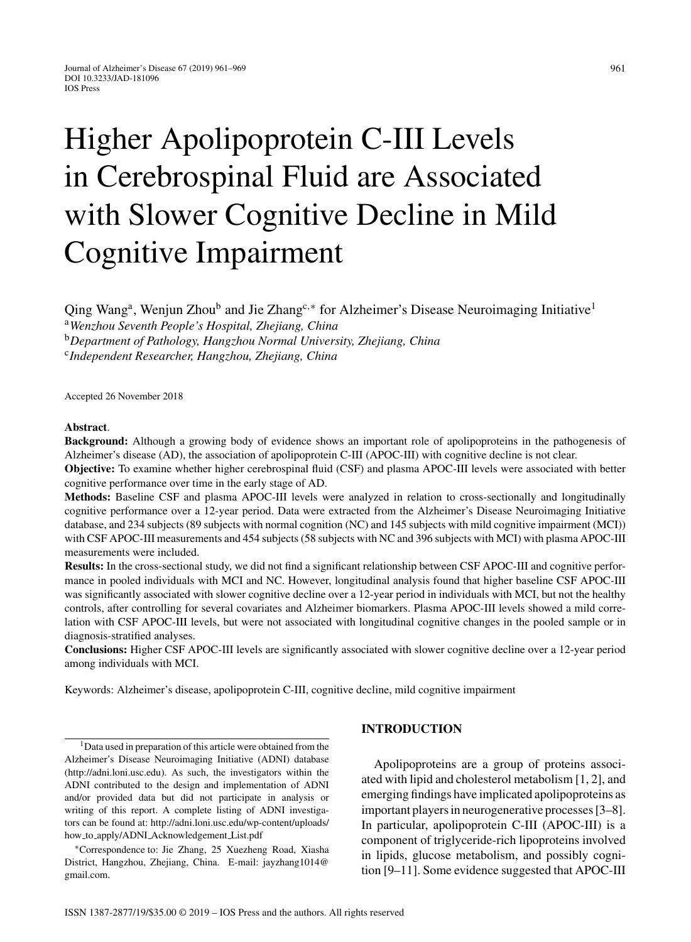# Higher Apolipoprotein C-III Levels in Cerebrospinal Fluid are Associated with Slower Cognitive Decline in Mild Cognitive Impairment

Qing Wang<sup>a</sup>, Wenjun Zhou<sup>b</sup> and Jie Zhang<sup>c,∗</sup> for Alzheimer's Disease Neuroimaging Initiative<sup>1</sup> <sup>a</sup>*Wenzhou Seventh People's Hospital, Zhejiang, China* <sup>b</sup>*Department of Pathology, Hangzhou Normal University, Zhejiang, China* <sup>c</sup>*Independent Researcher, Hangzhou, Zhejiang, China*

Accepted 26 November 2018

#### **Abstract**.

**Background:** Although a growing body of evidence shows an important role of apolipoproteins in the pathogenesis of Alzheimer's disease (AD), the association of apolipoprotein C-III (APOC-III) with cognitive decline is not clear.

**Objective:** To examine whether higher cerebrospinal fluid (CSF) and plasma APOC-III levels were associated with better cognitive performance over time in the early stage of AD.

**Methods:** Baseline CSF and plasma APOC-III levels were analyzed in relation to cross-sectionally and longitudinally cognitive performance over a 12-year period. Data were extracted from the Alzheimer's Disease Neuroimaging Initiative database, and 234 subjects (89 subjects with normal cognition (NC) and 145 subjects with mild cognitive impairment (MCI)) with CSF APOC-III measurements and 454 subjects (58 subjects with NC and 396 subjects with MCI) with plasma APOC-III measurements were included.

**Results:** In the cross-sectional study, we did not find a significant relationship between CSF APOC-III and cognitive performance in pooled individuals with MCI and NC. However, longitudinal analysis found that higher baseline CSF APOC-III was significantly associated with slower cognitive decline over a 12-year period in individuals with MCI, but not the healthy controls, after controlling for several covariates and Alzheimer biomarkers. Plasma APOC-III levels showed a mild correlation with CSF APOC-III levels, but were not associated with longitudinal cognitive changes in the pooled sample or in diagnosis-stratified analyses.

**Conclusions:** Higher CSF APOC-III levels are significantly associated with slower cognitive decline over a 12-year period among individuals with MCI.

Keywords: Alzheimer's disease, apolipoprotein C-III, cognitive decline, mild cognitive impairment

<sup>1</sup>Data used in preparation of this article were obtained from the Alzheimer's Disease Neuroimaging Initiative (ADNI) database ([http://adni.loni.usc.edu\)](http://adni.loni.usc.edu). As such, the investigators within the ADNI contributed to the design and implementation of ADNI and/or provided data but did not participate in analysis or writing of this report. A complete listing of ADNI investigators can be found at: [http://adni.loni.usc.edu/wp-content/uploads/](http://adni.loni.usc.edu/wp-content/uploads/how_to_apply/ADNI_Acknowledgement_List.pdf) how to apply/ADNI [Acknowledgement](http://adni.loni.usc.edu/wp-content/uploads/how_to_apply/ADNI_Acknowledgement_List.pdf) List.pdf

∗Correspondence to: Jie Zhang, 25 Xuezheng Road, Xiasha District, Hangzhou, Zhejiang, China. E-mail: [jayzhang1014@](mailto:jayzhang1014@{penalty -@M }gmail.com) gmail.com.

## **INTRODUCTION**

Apolipoproteins are a group of proteins associated with lipid and cholesterol metabolism [1, 2], and emerging findings have implicated apolipoproteins as important players in neurogenerative processes [3–8]. In particular, apolipoprotein C-III (APOC-III) is a component of triglyceride-rich lipoproteins involved in lipids, glucose metabolism, and possibly cognition [9–11]. Some evidence suggested that APOC-III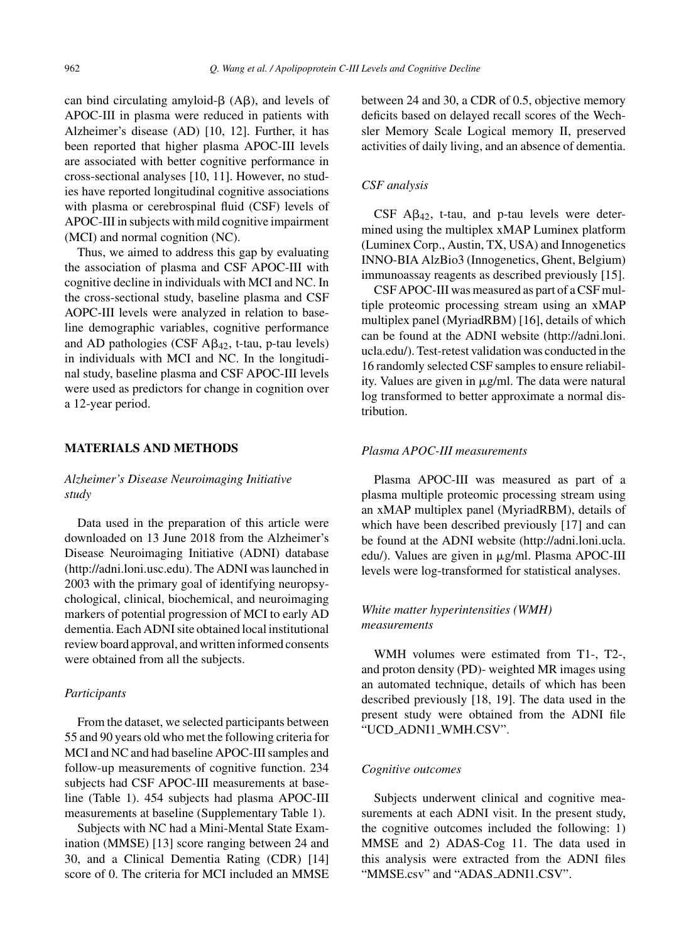can bind circulating amyloid- $\beta$  (A $\beta$ ), and levels of APOC-III in plasma were reduced in patients with Alzheimer's disease (AD) [10, 12]. Further, it has been reported that higher plasma APOC-III levels are associated with better cognitive performance in cross-sectional analyses [10, 11]. However, no studies have reported longitudinal cognitive associations with plasma or cerebrospinal fluid (CSF) levels of APOC-III in subjects with mild cognitive impairment (MCI) and normal cognition (NC).

Thus, we aimed to address this gap by evaluating the association of plasma and CSF APOC-III with cognitive decline in individuals with MCI and NC. In the cross-sectional study, baseline plasma and CSF AOPC-III levels were analyzed in relation to baseline demographic variables, cognitive performance and AD pathologies (CSF  $A\beta_{42}$ , t-tau, p-tau levels) in individuals with MCI and NC. In the longitudinal study, baseline plasma and CSF APOC-III levels were used as predictors for change in cognition over a 12-year period.

## **MATERIALS AND METHODS**

*Alzheimer's Disease Neuroimaging Initiative study*

Data used in the preparation of this article were downloaded on 13 June 2018 from the Alzheimer's Disease Neuroimaging Initiative (ADNI) database [\(http://adni.loni.usc.edu\)](http://adni.loni.usc.edu). The ADNI was launched in 2003 with the primary goal of identifying neuropsychological, clinical, biochemical, and neuroimaging markers of potential progression of MCI to early AD dementia. Each ADNI site obtained local institutional review board approval, and written informed consents were obtained from all the subjects.

#### *Participants*

From the dataset, we selected participants between 55 and 90 years old who met the following criteria for MCI and NC and had baseline APOC-III samples and follow-up measurements of cognitive function. 234 subjects had CSF APOC-III measurements at baseline (Table 1). 454 subjects had plasma APOC-III measurements at baseline (Supplementary Table 1).

Subjects with NC had a Mini-Mental State Examination (MMSE) [13] score ranging between 24 and 30, and a Clinical Dementia Rating (CDR) [14] score of 0. The criteria for MCI included an MMSE between 24 and 30, a CDR of 0.5, objective memory deficits based on delayed recall scores of the Wechsler Memory Scale Logical memory II, preserved activities of daily living, and an absence of dementia.

## *CSF analysis*

 $CSF$  A $\beta_{42}$ , t-tau, and p-tau levels were determined using the multiplex xMAP Luminex platform (Luminex Corp., Austin, TX, USA) and Innogenetics INNO-BIA AlzBio3 (Innogenetics, Ghent, Belgium) immunoassay reagents as described previously [15].

CSF APOC-III was measured as part of a CSF multiple proteomic processing stream using an xMAP multiplex panel (MyriadRBM) [16], details of which can be found at the ADNI website ([http://adni.loni.](http://adni.loni.ucla.edu/) [ucla.edu/](http://adni.loni.ucla.edu/)). Test-retest validation was conducted in the 16 randomly selected CSF samples to ensure reliability. Values are given in  $\mu$ g/ml. The data were natural log transformed to better approximate a normal distribution.

## *Plasma APOC-III measurements*

Plasma APOC-III was measured as part of a plasma multiple proteomic processing stream using an xMAP multiplex panel (MyriadRBM), details of which have been described previously [17] and can be found at the ADNI website ([http://adni.loni.ucla.](http://adni.loni.ucla.edu/) [edu/\)](http://adni.loni.ucla.edu/). Values are given in µg/ml. Plasma APOC-III levels were log-transformed for statistical analyses.

# *White matter hyperintensities (WMH) measurements*

WMH volumes were estimated from T1-, T2-, and proton density (PD)- weighted MR images using an automated technique, details of which has been described previously [18, 19]. The data used in the present study were obtained from the ADNI file "UCD ADNI1 WMH.CSV".

#### *Cognitive outcomes*

Subjects underwent clinical and cognitive measurements at each ADNI visit. In the present study, the cognitive outcomes included the following: 1) MMSE and 2) ADAS-Cog 11. The data used in this analysis were extracted from the ADNI files "MMSE.csv" and "ADAS ADNI1.CSV".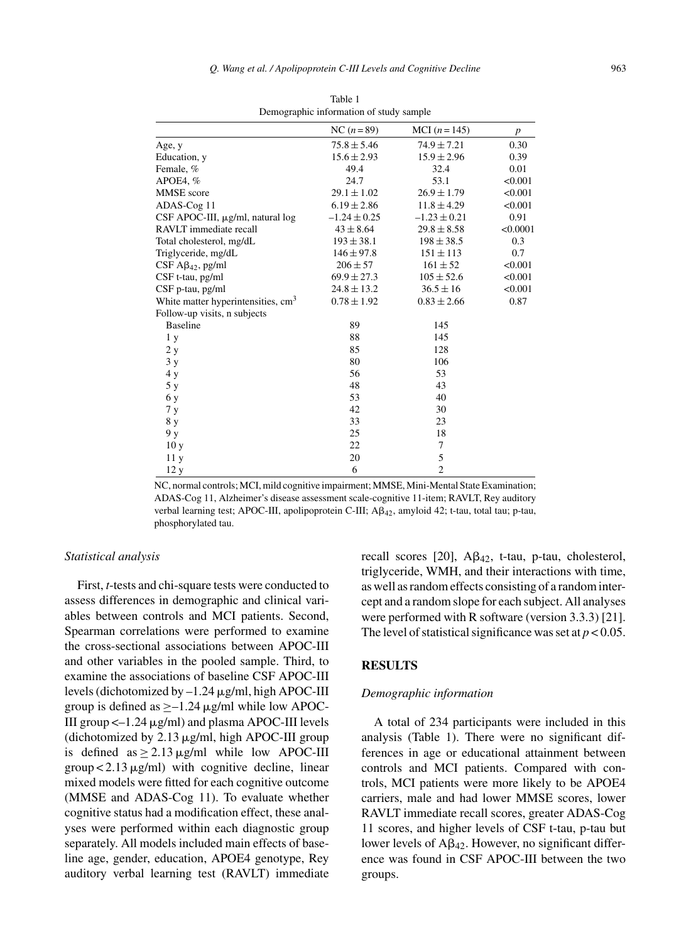|                                                | NC $(n=89)$      | MCI $(n = 145)$  | $\boldsymbol{p}$ |
|------------------------------------------------|------------------|------------------|------------------|
| Age, y                                         | $75.8 \pm 5.46$  | $74.9 \pm 7.21$  | 0.30             |
| Education, y                                   | $15.6 \pm 2.93$  | $15.9 \pm 2.96$  | 0.39             |
| Female, %                                      | 49.4             | 32.4             | 0.01             |
| APOE4,%                                        | 24.7             | 53.1             | < 0.001          |
| <b>MMSE</b> score                              | $29.1 \pm 1.02$  | $26.9 \pm 1.79$  | < 0.001          |
| ADAS-Cog 11                                    | $6.19 \pm 2.86$  | $11.8 \pm 4.29$  | < 0.001          |
| CSF APOC-III, µg/ml, natural log               | $-1.24 \pm 0.25$ | $-1.23 \pm 0.21$ | 0.91             |
| RAVLT immediate recall                         | $43 \pm 8.64$    | $29.8 \pm 8.58$  | < 0.0001         |
| Total cholesterol, mg/dL                       | $193 \pm 38.1$   | $198 \pm 38.5$   | 0.3              |
| Triglyceride, mg/dL                            | $146 \pm 97.8$   | $151 \pm 113$    | 0.7              |
| $CSF A\beta_{42}$ , pg/ml                      | $206 \pm 57$     | $161 \pm 52$     | < 0.001          |
| CSF t-tau, pg/ml                               | $69.9 \pm 27.3$  | $105 \pm 52.6$   | < 0.001          |
| CSF p-tau, pg/ml                               | $24.8 \pm 13.2$  | $36.5 \pm 16$    | < 0.001          |
| White matter hyperintensities, cm <sup>3</sup> | $0.78 \pm 1.92$  | $0.83 \pm 2.66$  | 0.87             |
| Follow-up visits, n subjects                   |                  |                  |                  |
| <b>Baseline</b>                                | 89               | 145              |                  |
| 1 <sub>y</sub>                                 | 88               | 145              |                  |
| 2y                                             | 85               | 128              |                  |
| 3y                                             | 80               | 106              |                  |
| 4y                                             | 56               | 53               |                  |
| 5 y                                            | 48               | 43               |                  |
| 6 y                                            | 53               | 40               |                  |
| 7y                                             | 42               | 30               |                  |
| 8 y                                            | 33               | 23               |                  |
| 9 y                                            | 25               | 18               |                  |
| 10y                                            | 22               | 7                |                  |
| 11y                                            | 20               | 5                |                  |
| 12 y                                           | 6                | $\overline{2}$   |                  |

Table 1 Demographic information of study sample

NC, normal controls; MCI, mild cognitive impairment; MMSE, Mini-Mental State Examination; ADAS-Cog 11, Alzheimer's disease assessment scale-cognitive 11-item; RAVLT, Rey auditory verbal learning test; APOC-III, apolipoprotein C-III; A $\beta_{42}$ , amyloid 42; t-tau, total tau; p-tau, phosphorylated tau.

#### *Statistical analysis*

First, *t*-tests and chi-square tests were conducted to assess differences in demographic and clinical variables between controls and MCI patients. Second, Spearman correlations were performed to examine the cross-sectional associations between APOC-III and other variables in the pooled sample. Third, to examine the associations of baseline CSF APOC-III levels (dichotomized by  $-1.24 \mu$ g/ml, high APOC-III group is defined as  $\geq -1.24 \mu$ g/ml while low APOC-III group  $\leq$  -1.24  $\mu$ g/ml) and plasma APOC-III levels (dichotomized by  $2.13 \mu g/ml$ , high APOC-III group is defined as  $> 2.13 \mu$ g/ml while low APOC-III  $\text{group} < 2.13 \,\mu\text{g/ml})$  with cognitive decline, linear mixed models were fitted for each cognitive outcome (MMSE and ADAS-Cog 11). To evaluate whether cognitive status had a modification effect, these analyses were performed within each diagnostic group separately. All models included main effects of baseline age, gender, education, APOE4 genotype, Rey auditory verbal learning test (RAVLT) immediate

recall scores [20],  $A\beta_{42}$ , t-tau, p-tau, cholesterol, triglyceride, WMH, and their interactions with time, as well as random effects consisting of a random intercept and a random slope for each subject. All analyses were performed with R software (version 3.3.3) [21]. The level of statistical significance was set at  $p < 0.05$ .

## **RESULTS**

## *Demographic information*

A total of 234 participants were included in this analysis (Table 1). There were no significant differences in age or educational attainment between controls and MCI patients. Compared with controls, MCI patients were more likely to be APOE4 carriers, male and had lower MMSE scores, lower RAVLT immediate recall scores, greater ADAS-Cog 11 scores, and higher levels of CSF t-tau, p-tau but lower levels of  $A\beta_{42}$ . However, no significant difference was found in CSF APOC-III between the two groups.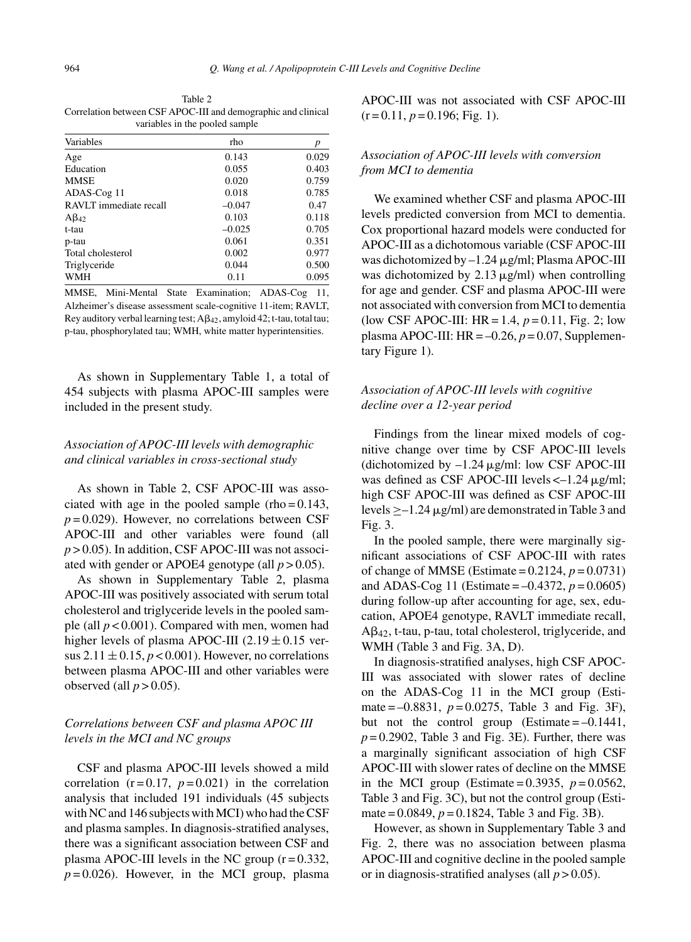Table 2 Correlation between CSF APOC-III and demographic and clinical variables in the pooled sample

| Variables              | rho      | 0.029 |  |
|------------------------|----------|-------|--|
| Age                    | 0.143    |       |  |
| Education              | 0.055    | 0.403 |  |
| <b>MMSE</b>            | 0.020    | 0.759 |  |
| ADAS-Cog 11            | 0.018    | 0.785 |  |
| RAVLT immediate recall | $-0.047$ | 0.47  |  |
| $A\beta_{42}$          | 0.103    | 0.118 |  |
| t-tau                  | $-0.025$ | 0.705 |  |
| p-tau                  | 0.061    | 0.351 |  |
| Total cholesterol      | 0.002    | 0.977 |  |
| Triglyceride           | 0.044    | 0.500 |  |
| <b>WMH</b>             | 0.11     | 0.095 |  |

MMSE, Mini-Mental State Examination; ADAS-Cog 11, Alzheimer's disease assessment scale-cognitive 11-item; RAVLT, Rey auditory verbal learning test;  $A\beta_{42}$ , amyloid 42; t-tau, total tau; p-tau, phosphorylated tau; WMH, white matter hyperintensities.

As shown in Supplementary Table 1, a total of 454 subjects with plasma APOC-III samples were included in the present study.

## *Association of APOC-III levels with demographic and clinical variables in cross-sectional study*

As shown in Table 2, CSF APOC-III was associated with age in the pooled sample (rho =  $0.143$ ,  $p = 0.029$ ). However, no correlations between CSF APOC-III and other variables were found (all  $p > 0.05$ ). In addition, CSF APOC-III was not associated with gender or APOE4 genotype (all  $p > 0.05$ ).

As shown in Supplementary Table 2, plasma APOC-III was positively associated with serum total cholesterol and triglyceride levels in the pooled sample (all *p* < 0.001). Compared with men, women had higher levels of plasma APOC-III  $(2.19 \pm 0.15 \text{ ver-}$ sus  $2.11 \pm 0.15$ ,  $p < 0.001$ ). However, no correlations between plasma APOC-III and other variables were observed (all  $p > 0.05$ ).

## *Correlations between CSF and plasma APOC III levels in the MCI and NC groups*

CSF and plasma APOC-III levels showed a mild correlation  $(r=0.17, p=0.021)$  in the correlation analysis that included 191 individuals (45 subjects with NC and 146 subjects with MCI) who had the CSF and plasma samples. In diagnosis-stratified analyses, there was a significant association between CSF and plasma APOC-III levels in the NC group  $(r=0.332)$ ,  $p = 0.026$ ). However, in the MCI group, plasma

APOC-III was not associated with CSF APOC-III  $(r=0.11, p=0.196; Fig. 1).$ 

# *Association of APOC-III levels with conversion from MCI to dementia*

We examined whether CSF and plasma APOC-III levels predicted conversion from MCI to dementia. Cox proportional hazard models were conducted for APOC-III as a dichotomous variable (CSF APOC-III was dichotomized by  $-1.24 \mu$ g/ml; Plasma APOC-III was dichotomized by  $2.13 \mu$ g/ml) when controlling for age and gender. CSF and plasma APOC-III were not associated with conversion from MCI to dementia (low CSF APOC-III:  $HR = 1.4$ ,  $p = 0.11$ , Fig. 2; low plasma APOC-III:  $HR = -0.26$ ,  $p = 0.07$ , Supplementary Figure 1).

# *Association of APOC-III levels with cognitive decline over a 12-year period*

Findings from the linear mixed models of cognitive change over time by CSF APOC-III levels (dichotomized by  $-1.24 \mu$ g/ml: low CSF APOC-III was defined as CSF APOC-III levels  $\lt$  -1.24  $\mu$ g/ml; high CSF APOC-III was defined as CSF APOC-III levels  $\geq -1.24 \mu$ g/ml) are demonstrated in Table 3 and Fig. 3.

In the pooled sample, there were marginally significant associations of CSF APOC-III with rates of change of MMSE (Estimate =  $0.2124$ ,  $p = 0.0731$ ) and ADAS-Cog 11 (Estimate =  $-0.4372$ ,  $p = 0.0605$ ) during follow-up after accounting for age, sex, education, APOE4 genotype, RAVLT immediate recall,  $A\beta_{42}$ , t-tau, p-tau, total cholesterol, triglyceride, and WMH (Table 3 and Fig. 3A, D).

In diagnosis-stratified analyses, high CSF APOC-III was associated with slower rates of decline on the ADAS-Cog 11 in the MCI group (Estimate =  $-0.8831$ ,  $p = 0.0275$ , Table 3 and Fig. 3F), but not the control group (Estimate  $=-0.1441$ ,  $p = 0.2902$ , Table 3 and Fig. 3E). Further, there was a marginally significant association of high CSF APOC-III with slower rates of decline on the MMSE in the MCI group (Estimate =  $0.3935$ ,  $p = 0.0562$ , Table 3 and Fig. 3C), but not the control group (Estimate =  $0.0849$ ,  $p = 0.1824$ , Table 3 and Fig. 3B).

However, as shown in Supplementary Table 3 and Fig. 2, there was no association between plasma APOC-III and cognitive decline in the pooled sample or in diagnosis-stratified analyses (all  $p > 0.05$ ).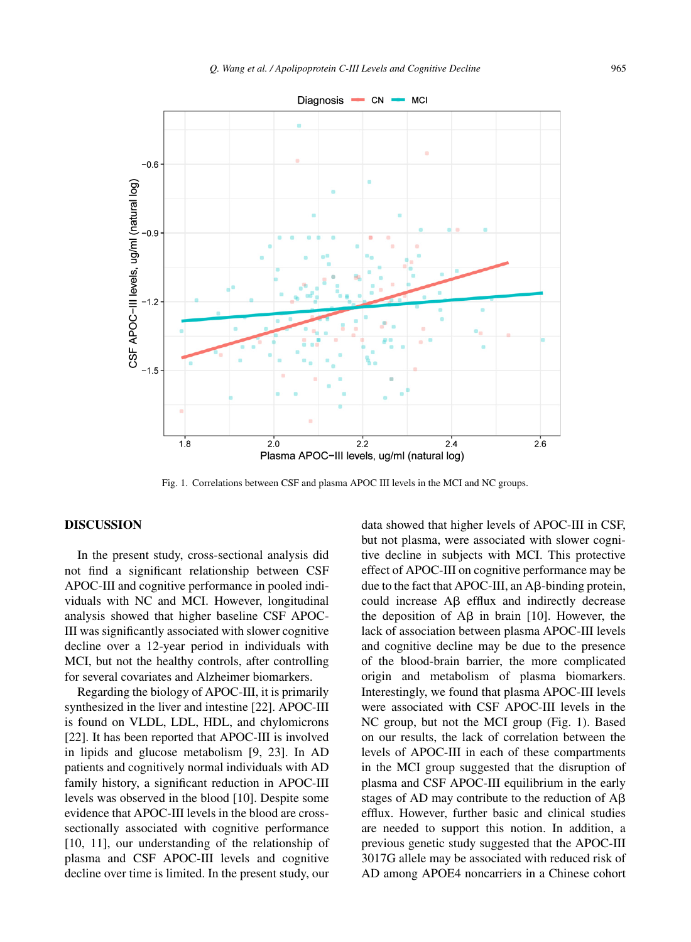

Fig. 1. Correlations between CSF and plasma APOC III levels in the MCI and NC groups.

## **DISCUSSION**

In the present study, cross-sectional analysis did not find a significant relationship between CSF APOC-III and cognitive performance in pooled individuals with NC and MCI. However, longitudinal analysis showed that higher baseline CSF APOC-III was significantly associated with slower cognitive decline over a 12-year period in individuals with MCI, but not the healthy controls, after controlling for several covariates and Alzheimer biomarkers.

Regarding the biology of APOC-III, it is primarily synthesized in the liver and intestine [22]. APOC-III is found on VLDL, LDL, HDL, and chylomicrons [22]. It has been reported that APOC-III is involved in lipids and glucose metabolism [9, 23]. In AD patients and cognitively normal individuals with AD family history, a significant reduction in APOC-III levels was observed in the blood [10]. Despite some evidence that APOC-III levels in the blood are crosssectionally associated with cognitive performance [10, 11], our understanding of the relationship of plasma and CSF APOC-III levels and cognitive decline over time is limited. In the present study, our

data showed that higher levels of APOC-III in CSF, but not plasma, were associated with slower cognitive decline in subjects with MCI. This protective effect of APOC-III on cognitive performance may be due to the fact that APOC-III, an A $\beta$ -binding protein, could increase  $\text{A}\beta$  efflux and indirectly decrease the deposition of  $\mathsf{A}\mathsf{B}$  in brain [10]. However, the lack of association between plasma APOC-III levels and cognitive decline may be due to the presence of the blood-brain barrier, the more complicated origin and metabolism of plasma biomarkers. Interestingly, we found that plasma APOC-III levels were associated with CSF APOC-III levels in the NC group, but not the MCI group (Fig. 1). Based on our results, the lack of correlation between the levels of APOC-III in each of these compartments in the MCI group suggested that the disruption of plasma and CSF APOC-III equilibrium in the early stages of AD may contribute to the reduction of  $A\beta$ efflux. However, further basic and clinical studies are needed to support this notion. In addition, a previous genetic study suggested that the APOC-III 3017G allele may be associated with reduced risk of AD among APOE4 noncarriers in a Chinese cohort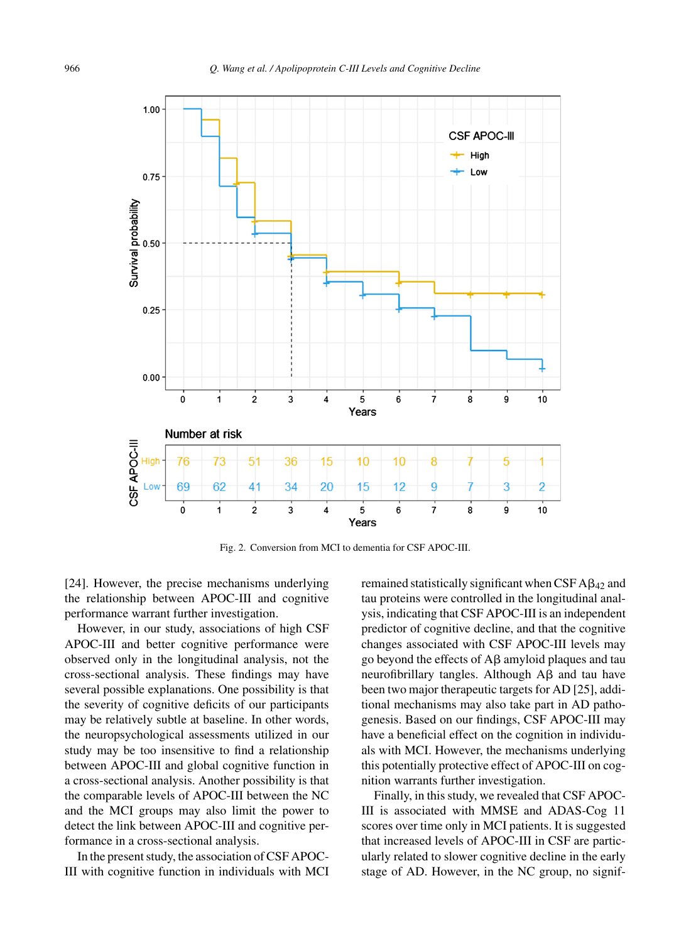

Fig. 2. Conversion from MCI to dementia for CSF APOC-III.

[24]. However, the precise mechanisms underlying the relationship between APOC-III and cognitive performance warrant further investigation.

However, in our study, associations of high CSF APOC-III and better cognitive performance were observed only in the longitudinal analysis, not the cross-sectional analysis. These findings may have several possible explanations. One possibility is that the severity of cognitive deficits of our participants may be relatively subtle at baseline. In other words, the neuropsychological assessments utilized in our study may be too insensitive to find a relationship between APOC-III and global cognitive function in a cross-sectional analysis. Another possibility is that the comparable levels of APOC-III between the NC and the MCI groups may also limit the power to detect the link between APOC-III and cognitive performance in a cross-sectional analysis.

In the present study, the association of CSF APOC-III with cognitive function in individuals with MCI remained statistically significant when CSF  $\text{A}\beta_{42}$  and tau proteins were controlled in the longitudinal analysis, indicating that CSF APOC-III is an independent predictor of cognitive decline, and that the cognitive changes associated with CSF APOC-III levels may go beyond the effects of  $A\beta$  amyloid plaques and tau neurofibrillary tangles. Although  $A\beta$  and tau have been two major therapeutic targets for AD [25], additional mechanisms may also take part in AD pathogenesis. Based on our findings, CSF APOC-III may have a beneficial effect on the cognition in individuals with MCI. However, the mechanisms underlying this potentially protective effect of APOC-III on cognition warrants further investigation.

Finally, in this study, we revealed that CSF APOC-III is associated with MMSE and ADAS-Cog 11 scores over time only in MCI patients. It is suggested that increased levels of APOC-III in CSF are particularly related to slower cognitive decline in the early stage of AD. However, in the NC group, no signif-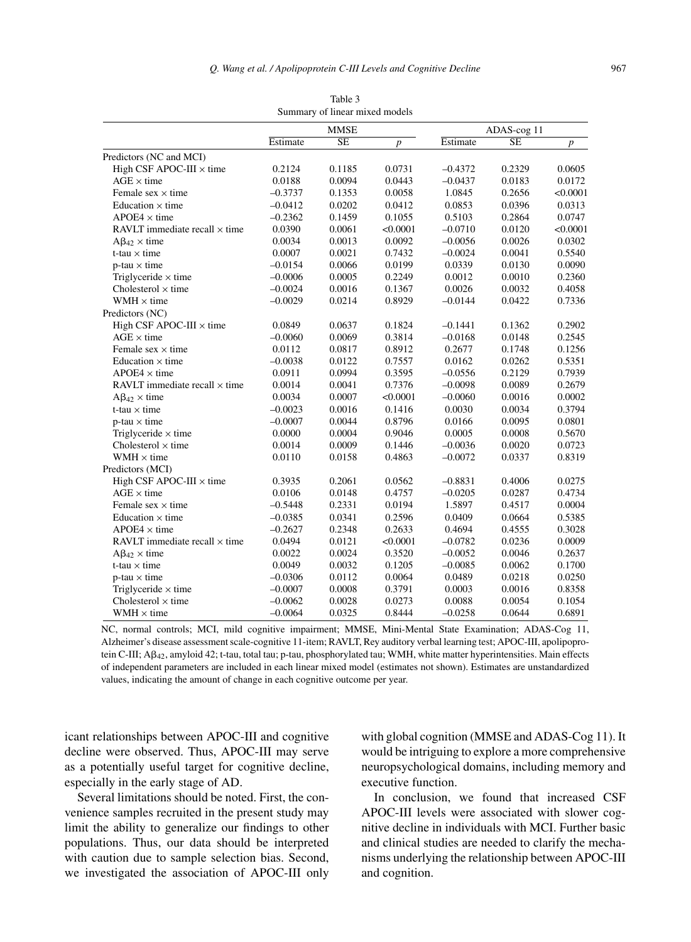| Summary of linear mixed models       |           |                        |                  |           |                        |                  |  |  |  |
|--------------------------------------|-----------|------------------------|------------------|-----------|------------------------|------------------|--|--|--|
|                                      |           | <b>MMSE</b>            |                  |           | ADAS-cog 11            |                  |  |  |  |
|                                      | Estimate  | $\overline{\text{SE}}$ | $\boldsymbol{p}$ | Estimate  | $\overline{\text{SE}}$ | $\boldsymbol{p}$ |  |  |  |
| Predictors (NC and MCI)              |           |                        |                  |           |                        |                  |  |  |  |
| High CSF APOC-III $\times$ time      | 0.2124    | 0.1185                 | 0.0731           | $-0.4372$ | 0.2329                 | 0.0605           |  |  |  |
| $AGE \times time$                    | 0.0188    | 0.0094                 | 0.0443           | $-0.0437$ | 0.0183                 | 0.0172           |  |  |  |
| Female sex $\times$ time             | $-0.3737$ | 0.1353                 | 0.0058           | 1.0845    | 0.2656                 | < 0.0001         |  |  |  |
| Education $\times$ time              | $-0.0412$ | 0.0202                 | 0.0412           | 0.0853    | 0.0396                 | 0.0313           |  |  |  |
| $APOE4 \times$ time                  | $-0.2362$ | 0.1459                 | 0.1055           | 0.5103    | 0.2864                 | 0.0747           |  |  |  |
| RAVLT immediate recall $\times$ time | 0.0390    | 0.0061                 | < 0.0001         | $-0.0710$ | 0.0120                 | < 0.0001         |  |  |  |
| $A\beta_{42} \times$ time            | 0.0034    | 0.0013                 | 0.0092           | $-0.0056$ | 0.0026                 | 0.0302           |  |  |  |
| $t$ -tau $\times$ time               | 0.0007    | 0.0021                 | 0.7432           | $-0.0024$ | 0.0041                 | 0.5540           |  |  |  |
| $p$ -tau $\times$ time               | $-0.0154$ | 0.0066                 | 0.0199           | 0.0339    | 0.0130                 | 0.0090           |  |  |  |
| Triglyceride $\times$ time           | $-0.0006$ | 0.0005                 | 0.2249           | 0.0012    | 0.0010                 | 0.2360           |  |  |  |
| Cholesterol $\times$ time            | $-0.0024$ | 0.0016                 | 0.1367           | 0.0026    | 0.0032                 | 0.4058           |  |  |  |
| WMH $\times$ time                    | $-0.0029$ | 0.0214                 | 0.8929           | $-0.0144$ | 0.0422                 | 0.7336           |  |  |  |
| Predictors (NC)                      |           |                        |                  |           |                        |                  |  |  |  |
| High CSF APOC-III $\times$ time      | 0.0849    | 0.0637                 | 0.1824           | $-0.1441$ | 0.1362                 | 0.2902           |  |  |  |
| $AGE \times$ time                    | $-0.0060$ | 0.0069                 | 0.3814           | $-0.0168$ | 0.0148                 | 0.2545           |  |  |  |
| Female sex $\times$ time             | 0.0112    | 0.0817                 | 0.8912           | 0.2677    | 0.1748                 | 0.1256           |  |  |  |
| Education $\times$ time              | $-0.0038$ | 0.0122                 | 0.7557           | 0.0162    | 0.0262                 | 0.5351           |  |  |  |
| $APOE4 \times$ time                  | 0.0911    | 0.0994                 | 0.3595           | $-0.0556$ | 0.2129                 | 0.7939           |  |  |  |
| RAVLT immediate recall $\times$ time | 0.0014    | 0.0041                 | 0.7376           | $-0.0098$ | 0.0089                 | 0.2679           |  |  |  |
| $A\beta_{42} \times$ time            | 0.0034    | 0.0007                 | < 0.0001         | $-0.0060$ | 0.0016                 | 0.0002           |  |  |  |
| $t$ -tau $\times$ time               | $-0.0023$ | 0.0016                 | 0.1416           | 0.0030    | 0.0034                 | 0.3794           |  |  |  |
| $p$ -tau $\times$ time               | $-0.0007$ | 0.0044                 | 0.8796           | 0.0166    | 0.0095                 | 0.0801           |  |  |  |
| Triglyceride $\times$ time           | 0.0000    | 0.0004                 | 0.9046           | 0.0005    | 0.0008                 | 0.5670           |  |  |  |
| Cholesterol $\times$ time            | 0.0014    | 0.0009                 | 0.1446           | $-0.0036$ | 0.0020                 | 0.0723           |  |  |  |
| $WMH \times time$                    | 0.0110    | 0.0158                 | 0.4863           | $-0.0072$ | 0.0337                 | 0.8319           |  |  |  |
| Predictors (MCI)                     |           |                        |                  |           |                        |                  |  |  |  |
| High CSF APOC-III $\times$ time      | 0.3935    | 0.2061                 | 0.0562           | $-0.8831$ | 0.4006                 | 0.0275           |  |  |  |
| $AGE \times$ time                    | 0.0106    | 0.0148                 | 0.4757           | $-0.0205$ | 0.0287                 | 0.4734           |  |  |  |
| Female sex $\times$ time             | $-0.5448$ | 0.2331                 | 0.0194           | 1.5897    | 0.4517                 | 0.0004           |  |  |  |
| Education $\times$ time              | $-0.0385$ | 0.0341                 | 0.2596           | 0.0409    | 0.0664                 | 0.5385           |  |  |  |
| $APOE4 \times$ time                  | $-0.2627$ | 0.2348                 | 0.2633           | 0.4694    | 0.4555                 | 0.3028           |  |  |  |
| RAVLT immediate recall $\times$ time | 0.0494    | 0.0121                 | < 0.0001         | $-0.0782$ | 0.0236                 | 0.0009           |  |  |  |
| $A\beta_{42} \times$ time            | 0.0022    | 0.0024                 | 0.3520           | $-0.0052$ | 0.0046                 | 0.2637           |  |  |  |
| $t$ -tau $\times$ time               | 0.0049    | 0.0032                 | 0.1205           | $-0.0085$ | 0.0062                 | 0.1700           |  |  |  |
| $p$ -tau $\times$ time               | $-0.0306$ | 0.0112                 | 0.0064           | 0.0489    | 0.0218                 | 0.0250           |  |  |  |
| Triglyceride $\times$ time           | $-0.0007$ | 0.0008                 | 0.3791           | 0.0003    | 0.0016                 | 0.8358           |  |  |  |
| Cholesterol $\times$ time            | $-0.0062$ | 0.0028                 | 0.0273           | 0.0088    | 0.0054                 | 0.1054           |  |  |  |
| $WMH \times time$                    | $-0.0064$ | 0.0325                 | 0.8444           | $-0.0258$ | 0.0644                 | 0.6891           |  |  |  |

Table 3 Summary of linear mixed models

NC, normal controls; MCI, mild cognitive impairment; MMSE, Mini-Mental State Examination; ADAS-Cog 11, Alzheimer's disease assessment scale-cognitive 11-item; RAVLT, Rey auditory verbal learning test; APOC-III, apolipoprotein C-III; A $\beta_{42}$ , amyloid 42; t-tau, total tau; p-tau, phosphorylated tau; WMH, white matter hyperintensities. Main effects of independent parameters are included in each linear mixed model (estimates not shown). Estimates are unstandardized values, indicating the amount of change in each cognitive outcome per year.

icant relationships between APOC-III and cognitive decline were observed. Thus, APOC-III may serve as a potentially useful target for cognitive decline, especially in the early stage of AD.

Several limitations should be noted. First, the convenience samples recruited in the present study may limit the ability to generalize our findings to other populations. Thus, our data should be interpreted with caution due to sample selection bias. Second, we investigated the association of APOC-III only

with global cognition (MMSE and ADAS-Cog 11). It would be intriguing to explore a more comprehensive neuropsychological domains, including memory and executive function.

In conclusion, we found that increased CSF APOC-III levels were associated with slower cognitive decline in individuals with MCI. Further basic and clinical studies are needed to clarify the mechanisms underlying the relationship between APOC-III and cognition.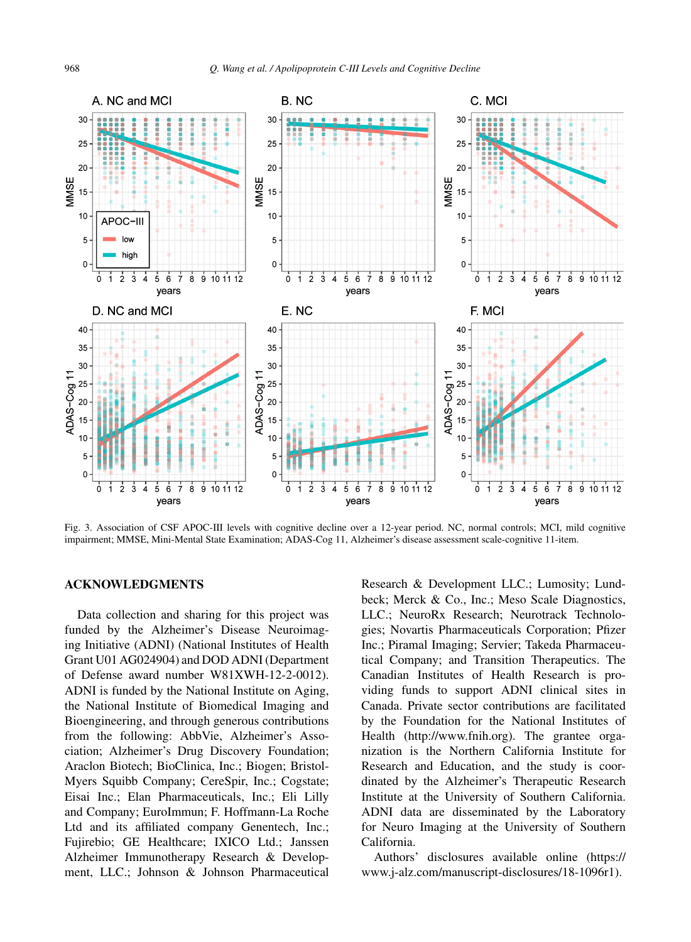

Fig. 3. Association of CSF APOC-III levels with cognitive decline over a 12-year period. NC, normal controls; MCI, mild cognitive impairment; MMSE, Mini-Mental State Examination; ADAS-Cog 11, Alzheimer's disease assessment scale-cognitive 11-item.

#### **ACKNOWLEDGMENTS**

Data collection and sharing for this project was funded by the Alzheimer's Disease Neuroimaging Initiative (ADNI) (National Institutes of Health Grant U01 AG024904) and DOD ADNI (Department of Defense award number W81XWH-12-2-0012). ADNI is funded by the National Institute on Aging, the National Institute of Biomedical Imaging and Bioengineering, and through generous contributions from the following: AbbVie, Alzheimer's Association; Alzheimer's Drug Discovery Foundation; Araclon Biotech; BioClinica, Inc.; Biogen; Bristol-Myers Squibb Company; CereSpir, Inc.; Cogstate; Eisai Inc.; Elan Pharmaceuticals, Inc.; Eli Lilly and Company; EuroImmun; F. Hoffmann-La Roche Ltd and its affiliated company Genentech, Inc.; Fujirebio; GE Healthcare; IXICO Ltd.; Janssen Alzheimer Immunotherapy Research & Development, LLC.; Johnson & Johnson Pharmaceutical Research & Development LLC.; Lumosity; Lundbeck; Merck & Co., Inc.; Meso Scale Diagnostics, LLC.; NeuroRx Research; Neurotrack Technologies; Novartis Pharmaceuticals Corporation; Pfizer Inc.; Piramal Imaging; Servier; Takeda Pharmaceutical Company; and Transition Therapeutics. The Canadian Institutes of Health Research is providing funds to support ADNI clinical sites in Canada. Private sector contributions are facilitated by the Foundation for the National Institutes of Health ([http://www.fnih.org\)](http://www.fnih.org). The grantee organization is the Northern California Institute for Research and Education, and the study is coordinated by the Alzheimer's Therapeutic Research Institute at the University of Southern California. ADNI data are disseminated by the Laboratory for Neuro Imaging at the University of Southern California.

Authors' disclosures available online [\(https://](https://www.j-alz.com/manuscript-disclosures/18-1096r1) [www.j-alz.com/manuscript-disclosures/18-1096r1\)](https://www.j-alz.com/manuscript-disclosures/18-1096r1).